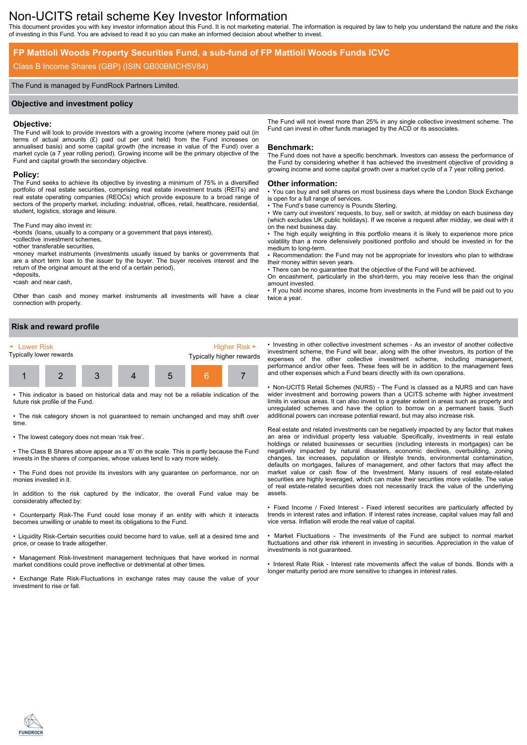# Non-UCITS retail scheme Key Investor Information

This document provides you with key investor information about this Fund. It is not marketing material. The information is required by law to help you understand the nature and the risks of investing in this Fund. You are advised to read it so you can make an informed decision about whether to invest.

## **FP Mattioli Woods Property Securities Fund, a sub-fund of FP Mattioli Woods Funds ICVC**

## Class B Income Shares (GBP) (ISIN GB00BMCH5V84)

## The Fund is managed by FundRock Partners Limited.

#### **Objective and investment policy**

#### **Objective:**

The Fund will look to provide investors with a growing income (where money paid out (in terms of actual amounts (£) paid out per unit held) from the Fund increases on annualised basis) and some capital growth (the increase in value of the Fund) over a market cycle (a  $7$  year rolling period). Growing income will be the primary objective of the Fund and capital growth the secondary objective.

## **Policy:**

The Fund seeks to achieve its objective by investing a minimum of 75% in a diversified portfolio of real estate securities, comprising real estate investment trusts (REITs) and real estate operating companies (REOCs) which provide exposure to a broad range of sectors of the property market, including: industrial, offices, retail, healthcare, residential, student, logistics, storage and leisure.

The Fund may also invest in:

•bonds (loans, usually to a company or a government that pays interest),

•collective investment schemes,

•other transferable securities,

•money market instruments (investments usually issued by banks or governments that are a short term loan to the issuer by the buyer. The buyer receives interest and the return of the original amount at the end of a certain period), •deposits,

•cash and near cash,

Other than cash and money market instruments all investments will have a clear connection with property.

**Risk and reward profile**



• This indicator is based on historical data and may not be a reliable indication of the future risk profile of the Fund.

• The risk category shown is not guaranteed to remain unchanged and may shift over time.

• The lowest category does not mean 'risk free'.

• The Class B Shares above appear as a '6' on the scale. This is partly because the Fund invests in the shares of companies, whose values tend to vary more widely.

• The Fund does not provide its investors with any guarantee on performance, nor on monies invested in it.

In addition to the risk captured by the indicator, the overall Fund value may be considerably affected by:

• Counterparty Risk-The Fund could lose money if an entity with which it interacts becomes unwilling or unable to meet its obligations to the Fund.

• Liquidity Risk-Certain securities could become hard to value, sell at a desired time and price, or cease to trade altogether.

• Management Risk-Investment management techniques that have worked in normal market conditions could prove ineffective or detrimental at other times.

• Exchange Rate Risk-Fluctuations in exchange rates may cause the value of your investment to rise or fall.

The Fund will not invest more than 25% in any single collective investment scheme. The Fund can invest in other funds managed by the ACD or its associates.

#### **Benchmark:**

The Fund does not have a specific benchmark. Investors can assess the performance of the Fund by considering whether it has achieved the investment objective of providing a growing income and some capital growth over a market cycle of a 7 year rolling period.

#### **Other information:**

• You can buy and sell shares on most business days where the London Stock Exchange is open for a full range of services.

The Fund's base currency is Pounds Sterling.

• We carry out investors' requests, to buy, sell or switch, at midday on each business day (which excludes UK public holidays). If we receive a request after midday, we deal with it on the next business day.

• The high equity weighting in this portfolio means it is likely to experience more price volatility than a more defensively positioned portfolio and should be invested in for the medium to long-term.

• Recommendation: the Fund may not be appropriate for investors who plan to withdraw their money within seven years.

There can be no guarantee that the objective of the Fund will be achieved.

On encashment, particularly in the short-term, you may receive less than the original amount invested.

• If you hold income shares, income from investments in the Fund will be paid out to you twice a year.

• Investing in other collective investment schemes - As an investor of another collective investment scheme, the Fund will bear, along with the other investors, its portion of the expenses of the other collective investment scheme, including management, performance and/or other fees. These fees will be in addition to the management fees and other expenses which a Fund bears directly with its own operations.

• Non-UCITS Retail Schemes (NURS) - The Fund is classed as a NURS and can have wider investment and borrowing powers than a UCITS scheme with higher investment limits in various areas. It can also invest to a greater extent in areas such as property and unregulated schemes and have the option to borrow on a permanent basis. Such additional powers can increase potential reward, but may also increase risk.

Real estate and related investments can be negatively impacted by any factor that makes an area or individual property less valuable. Specifically, investments in real estate holdings or related businesses or securities (including interests in mortgages) can be negatively impacted by natural disasters, economic declines, overbuilding, zoning changes, tax increases, population or lifestyle trends, environmental contamination, defaults on mortgages, failures of management, and other factors that may affect the market value or cash flow of the Investment. Many issuers of real estate-related securities are highly leveraged, which can make their securities more volatile. The value of real estate-related securities does not necessarily track the value of the underlying assets.

• Fixed Income / Fixed Interest - Fixed interest securities are particularly affected by trends in interest rates and inflation. If interest rates increase, capital values may fall and vice versa. Inflation will erode the real value of capital.

• Market Fluctuations - The investments of the Fund are subject to normal market fluctuations and other risk inherent in investing in securities. Appreciation in the value of investments is not guaranteed.

• Interest Rate Risk - Interest rate movements affect the value of bonds. Bonds with a longer maturity period are more sensitive to changes in interest rates.